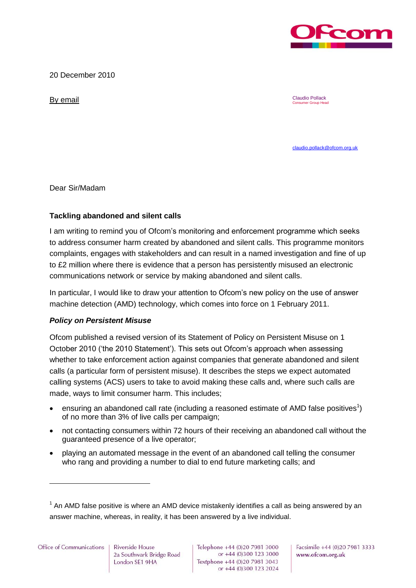

20 December 2010

By email Claudio Pollack Consumer Group Head

[claudio.pollack@ofcom.org.uk](mailto:claudio.pollack@ofcom.org.uk)

Dear Sir/Madam

## **Tackling abandoned and silent calls**

I am writing to remind you of Ofcom's monitoring and enforcement programme which seeks to address consumer harm created by abandoned and silent calls. This programme monitors complaints, engages with stakeholders and can result in a named investigation and fine of up to £2 million where there is evidence that a person has persistently misused an electronic communications network or service by making abandoned and silent calls.

In particular, I would like to draw your attention to Ofcom's new policy on the use of answer machine detection (AMD) technology, which comes into force on 1 February 2011.

## *Policy on Persistent Misuse*

Ofcom published a revised version of its Statement of Policy on Persistent Misuse on 1 October 2010 ('the 2010 Statement'). This sets out Ofcom's approach when assessing whether to take enforcement action against companies that generate abandoned and silent calls (a particular form of persistent misuse). It describes the steps we expect automated calling systems (ACS) users to take to avoid making these calls and, where such calls are made, ways to limit consumer harm. This includes;

- ensuring an abandoned call rate (including a reasoned estimate of AMD false positives<sup>1</sup>) of no more than 3% of live calls per campaign;
- not contacting consumers within 72 hours of their receiving an abandoned call without the guaranteed presence of a live operator;
- playing an automated message in the event of an abandoned call telling the consumer who rang and providing a number to dial to end future marketing calls; and

 $\overline{a}$ 

Facsimile +44 (0)20 7981 3333 www.ofcom.org.uk

 $1$  An AMD false positive is where an AMD device mistakenly identifies a call as being answered by an answer machine, whereas, in reality, it has been answered by a live individual.